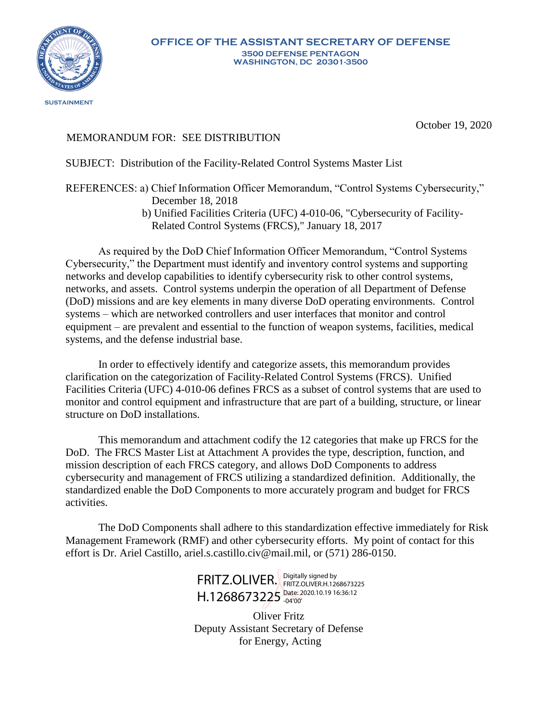

October 19, 2020

## MEMORANDUM FOR: SEE DISTRIBUTION

## SUBJECT: Distribution of the Facility-Related Control Systems Master List

## REFERENCES: a) Chief Information Officer Memorandum, "Control Systems Cybersecurity," December 18, 2018

 b) Unified Facilities Criteria (UFC) 4-010-06, "Cybersecurity of Facility-Related Control Systems (FRCS)," January 18, 2017

As required by the DoD Chief Information Officer Memorandum, "Control Systems Cybersecurity," the Department must identify and inventory control systems and supporting networks and develop capabilities to identify cybersecurity risk to other control systems, networks, and assets. Control systems underpin the operation of all Department of Defense (DoD) missions and are key elements in many diverse DoD operating environments. Control systems – which are networked controllers and user interfaces that monitor and control equipment – are prevalent and essential to the function of weapon systems, facilities, medical systems, and the defense industrial base.

In order to effectively identify and categorize assets, this memorandum provides clarification on the categorization of Facility-Related Control Systems (FRCS). Unified Facilities Criteria (UFC) 4-010-06 defines FRCS as a subset of control systems that are used to monitor and control equipment and infrastructure that are part of a building, structure, or linear structure on DoD installations.

This memorandum and attachment codify the 12 categories that make up FRCS for the DoD. The FRCS Master List at Attachment A provides the type, description, function, and mission description of each FRCS category, and allows DoD Components to address cybersecurity and management of FRCS utilizing a standardized definition. Additionally, the standardized enable the DoD Components to more accurately program and budget for FRCS activities.

The DoD Components shall adhere to this standardization effective immediately for Risk Management Framework (RMF) and other cybersecurity efforts. My point of contact for this effort is Dr. Ariel Castillo, ariel.s.castillo.civ@mail.mil, or (571) 286-0150.

> FRITZ.OLIVER. FRITZ.OLIVER.H.126  $H.1268673225$   $_{-04'00'}^{Date: 2020.10.19\,16:36:12}$ FRITZ.OLIVER.H.1268673225 -04'00'

Oliver Fritz Deputy Assistant Secretary of Defense for Energy, Acting